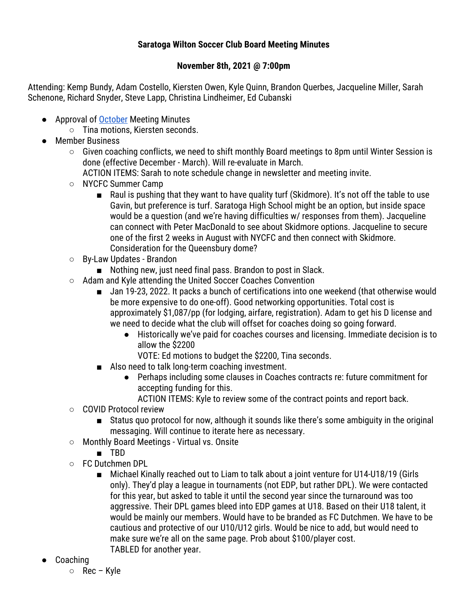## **Saratoga Wilton Soccer Club Board Meeting Minutes**

## **November 8th, 2021 @ 7:00pm**

Attending: Kemp Bundy, Adam Costello, Kiersten Owen, Kyle Quinn, Brandon Querbes, Jacqueline Miller, Sarah Schenone, Richard Snyder, Steve Lapp, Christina Lindheimer, Ed Cubanski

- Approval of October Meeting Minutes
	- Tina motions, Kiersten seconds.
- Member Business
	- Given coaching conflicts, we need to shift monthly Board meetings to 8pm until Winter Session is done (effective December - March). Will re-evaluate in March.

ACTION ITEMS: Sarah to note schedule change in newsletter and meeting invite.

- NYCFC Summer Camp
	- Raul is pushing that they want to have quality turf (Skidmore). It's not off the table to use Gavin, but preference is turf. Saratoga High School might be an option, but inside space would be a question (and we're having difficulties w/ responses from them). Jacqueline can connect with Peter MacDonald to see about Skidmore options. Jacqueline to secure one of the first 2 weeks in August with NYCFC and then connect with Skidmore. Consideration for the Queensbury dome?
- By-Law Updates Brandon
	- Nothing new, just need final pass. Brandon to post in Slack.
- Adam and Kyle attending the United Soccer Coaches Convention
	- Jan 19-23, 2022. It packs a bunch of certifications into one weekend (that otherwise would be more expensive to do one-off). Good networking opportunities. Total cost is approximately \$1,087/pp (for lodging, airfare, registration). Adam to get his D license and we need to decide what the club will offset for coaches doing so going forward.
		- Historically we've paid for coaches courses and licensing. Immediate decision is to allow the \$2200
			- VOTE: Ed motions to budget the \$2200, Tina seconds.
	- Also need to talk long-term coaching investment.
		- Perhaps including some clauses in Coaches contracts re: future commitment for accepting funding for this.

ACTION ITEMS: Kyle to review some of the contract points and report back.

- COVID Protocol review
	- Status quo protocol for now, although it sounds like there's some ambiguity in the original messaging. Will continue to iterate here as necessary.
- Monthly Board Meetings Virtual vs. Onsite
	- TBD
- FC Dutchmen DPL
	- Michael Kinally reached out to Liam to talk about a joint venture for U14-U18/19 (Girls only). They'd play a league in tournaments (not EDP, but rather DPL). We were contacted for this year, but asked to table it until the second year since the turnaround was too aggressive. Their DPL games bleed into EDP games at U18. Based on their U18 talent, it would be mainly our members. Would have to be branded as FC Dutchmen. We have to be cautious and protective of our U10/U12 girls. Would be nice to add, but would need to make sure we're all on the same page. Prob about \$100/player cost. TABLED for another year.
- Coaching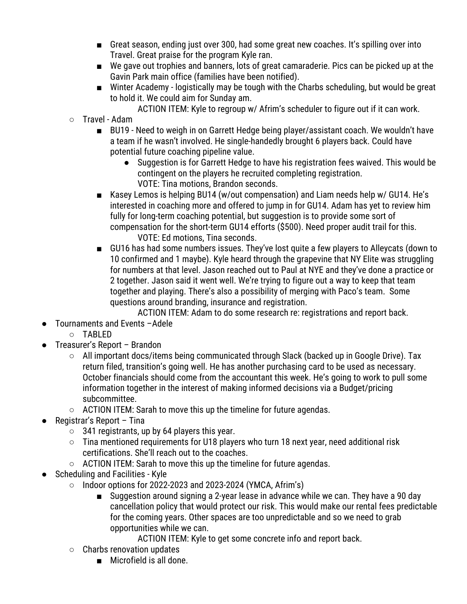- Great season, ending just over 300, had some great new coaches. It's spilling over into Travel. Great praise for the program Kyle ran.
- We gave out trophies and banners, lots of great camaraderie. Pics can be picked up at the Gavin Park main office (families have been notified).
- Winter Academy logistically may be tough with the Charbs scheduling, but would be great to hold it. We could aim for Sunday am.
	- ACTION ITEM: Kyle to regroup w/ Afrim's scheduler to figure out if it can work.
- Travel Adam
	- BU19 Need to weigh in on Garrett Hedge being player/assistant coach. We wouldn't have a team if he wasn't involved. He single-handedly brought 6 players back. Could have potential future coaching pipeline value.
		- Suggestion is for Garrett Hedge to have his registration fees waived. This would be contingent on the players he recruited completing registration. VOTE: Tina motions, Brandon seconds.
	- Kasey Lemos is helping BU14 (w/out compensation) and Liam needs help w/ GU14. He's interested in coaching more and offered to jump in for GU14. Adam has yet to review him fully for long-term coaching potential, but suggestion is to provide some sort of compensation for the short-term GU14 efforts (\$500). Need proper audit trail for this. VOTE: Ed motions, Tina seconds.
	- GU16 has had some numbers issues. They've lost quite a few players to Alleycats (down to 10 confirmed and 1 maybe). Kyle heard through the grapevine that NY Elite was struggling for numbers at that level. Jason reached out to Paul at NYE and they've done a practice or 2 together. Jason said it went well. We're trying to figure out a way to keep that team together and playing. There's also a possibility of merging with Paco's team. Some questions around branding, insurance and registration.
		- ACTION ITEM: Adam to do some research re: registrations and report back.
- Tournaments and Events -Adele
	- TABLED
- Treasurer's Report Brandon
	- All important docs/items being communicated through Slack (backed up in Google Drive). Tax return filed, transition's going well. He has another purchasing card to be used as necessary. October financials should come from the accountant this week. He's going to work to pull some information together in the interest of making informed decisions via a Budget/pricing subcommittee.
	- ACTION ITEM: Sarah to move this up the timeline for future agendas.
- Registrar's Report Tina
	- 341 registrants, up by 64 players this year.
	- Tina mentioned requirements for U18 players who turn 18 next year, need additional risk certifications. She'll reach out to the coaches.
	- ACTION ITEM: Sarah to move this up the timeline for future agendas.
- Scheduling and Facilities Kyle
	- $\circ$  Indoor options for 2022-2023 and 2023-2024 (YMCA, Afrim's)
		- Suggestion around signing a 2-year lease in advance while we can. They have a 90 day cancellation policy that would protect our risk. This would make our rental fees predictable for the coming years. Other spaces are too unpredictable and so we need to grab opportunities while we can.
			- ACTION ITEM: Kyle to get some concrete info and report back.
	- Charbs renovation updates
		- Microfield is all done.